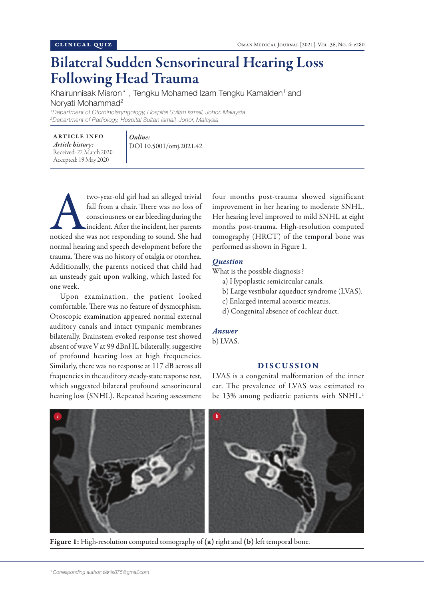# Bilateral Sudden Sensorineural Hearing Loss Following Head Trauma

Khairunnisak Misron\*1, Tengku Mohamed Izam Tengku Kamalden<sup>1</sup> and Norvati Mohammad<sup>2</sup>

*1 Department of Otorhinolaryngology, Hospital Sultan Ismail, Johor, Malaysia 2 Department of Radiology, Hospital Sultan Ismail, Johor, Malaysia*

ARTICLE INFO *Article history:*  Received: 22 March 2020 Accepted: 19 May 2020

*Online:* DOI 10.5001/omj.2021.42

two-year-old girl had an alleged trivial<br>fall from a chair. There was no loss of<br>consciousness or ear bleeding during the<br>incident. After the incident, her parents<br>noticed she was not responding to sound. She had fall from a chair. There was no loss of consciousness or ear bleeding during the incident. After the incident, her parents normal hearing and speech development before the trauma. There was no history of otalgia or otorrhea. Additionally, the parents noticed that child had an unsteady gait upon walking, which lasted for one week.

Upon examination, the patient looked comfortable. There was no feature of dysmorphism. Otoscopic examination appeared normal external auditory canals and intact tympanic membranes bilaterally. Brainstem evoked response test showed absent of wave V at 99 dBnHL bilaterally, suggestive of profound hearing loss at high frequencies. Similarly, there was no response at 117 dB across all frequencies in the auditory steady-state response test, which suggested bilateral profound sensorineural hearing loss (SNHL). Repeated hearing assessment

four months post-trauma showed significant improvement in her hearing to moderate SNHL. Her hearing level improved to mild SNHL at eight months post-trauma. High-resolution computed tomography (HRCT) of the temporal bone was performed as shown in Figure 1.

## *Question*

What is the possible diagnosis?

- a) Hypoplastic semicircular canals.
- b) Large vestibular aqueduct syndrome (LVAS).
- c) Enlarged internal acoustic meatus.
- d) Congenital absence of cochlear duct.

## *Answer*

b) LVAS.

### DISCUSSION

LVAS is a congenital malformation of the inner ear. The prevalence of LVAS was estimated to be 13% among pediatric patients with SNHL.<sup>1</sup>



Figure 1: High-resolution computed tomography of (a) right and (b) left temporal bone.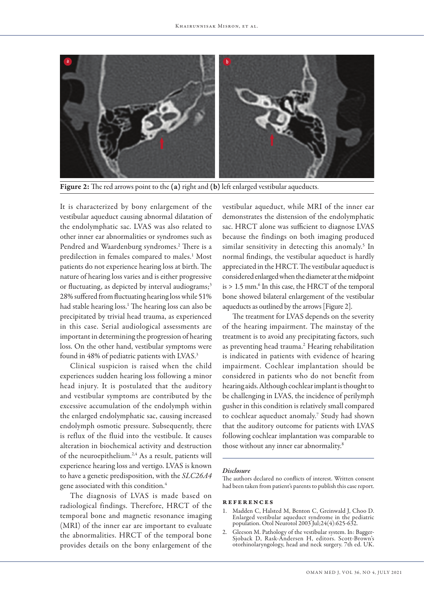

Figure 2: The red arrows point to the (a) right and (b) left enlarged vestibular aqueducts.

It is characterized by bony enlargement of the vestibular aqueduct causing abnormal dilatation of the endolymphatic sac. LVAS was also related to other inner ear abnormalities or syndromes such as Pendred and Waardenburg syndromes.<sup>2</sup> There is a predilection in females compared to males.<sup>1</sup> Most patients do not experience hearing loss at birth. The nature of hearing loss varies and is either progressive or fluctuating, as depicted by interval audiograms;<sup>3</sup> 28% suffered from fluctuating hearing loss while 51% had stable hearing loss.1 The hearing loss can also be precipitated by trivial head trauma, as experienced in this case. Serial audiological assessments are important in determining the progression of hearing loss. On the other hand, vestibular symptoms were found in 48% of pediatric patients with LVAS.3

Clinical suspicion is raised when the child experiences sudden hearing loss following a minor head injury. It is postulated that the auditory and vestibular symptoms are contributed by the excessive accumulation of the endolymph within the enlarged endolymphatic sac, causing increased endolymph osmotic pressure. Subsequently, there is reflux of the fluid into the vestibule. It causes alteration in biochemical activity and destruction of the neuroepithelium.2,4 As a result, patients will experience hearing loss and vertigo. LVAS is known to have a genetic predisposition, with the *SLC26A4* gene associated with this condition.4

The diagnosis of LVAS is made based on radiological findings. Therefore, HRCT of the temporal bone and magnetic resonance imaging (MRI) of the inner ear are important to evaluate the abnormalities. HRCT of the temporal bone provides details on the bony enlargement of the

vestibular aqueduct, while MRI of the inner ear demonstrates the distension of the endolymphatic sac. HRCT alone was sufficient to diagnose LVAS because the findings on both imaging produced similar sensitivity in detecting this anomaly.<sup>5</sup> In normal findings, the vestibular aqueduct is hardly appreciated in the HRCT. The vestibular aqueduct is considered enlarged when the diameter at the midpoint is > 1.5 mm.<sup>6</sup> In this case, the HRCT of the temporal bone showed bilateral enlargement of the vestibular aqueducts as outlined by the arrows [Figure 2].

The treatment for LVAS depends on the severity of the hearing impairment. The mainstay of the treatment is to avoid any precipitating factors, such as preventing head trauma.<sup>2</sup> Hearing rehabilitation is indicated in patients with evidence of hearing impairment. Cochlear implantation should be considered in patients who do not benefit from hearing aids. Although cochlear implant is thought to be challenging in LVAS, the incidence of perilymph gusher in this condition is relatively small compared to cochlear aqueduct anomaly.7 Study had shown that the auditory outcome for patients with LVAS following cochlear implantation was comparable to those without any inner ear abnormality.8

#### *Disclosure*

The authors declared no conflicts of interest. Written consent had been taken from patient's parents to publish this case report.

#### references

- 1. Madden C, Halsted M, Benton C, Greinwald J, Choo D. Enlarged vestibular aqueduct syndrome in the pediatric population. Otol Neurotol 2003 Jul;24(4):625-632.
- 2. Gleeson M. Pathology of the vestibular system. In: Bagger-Sjoback D, Rask-Andersen H, editors. Scott-Brown's otorhinolaryngology, head and neck surgery. 7th ed. UK.